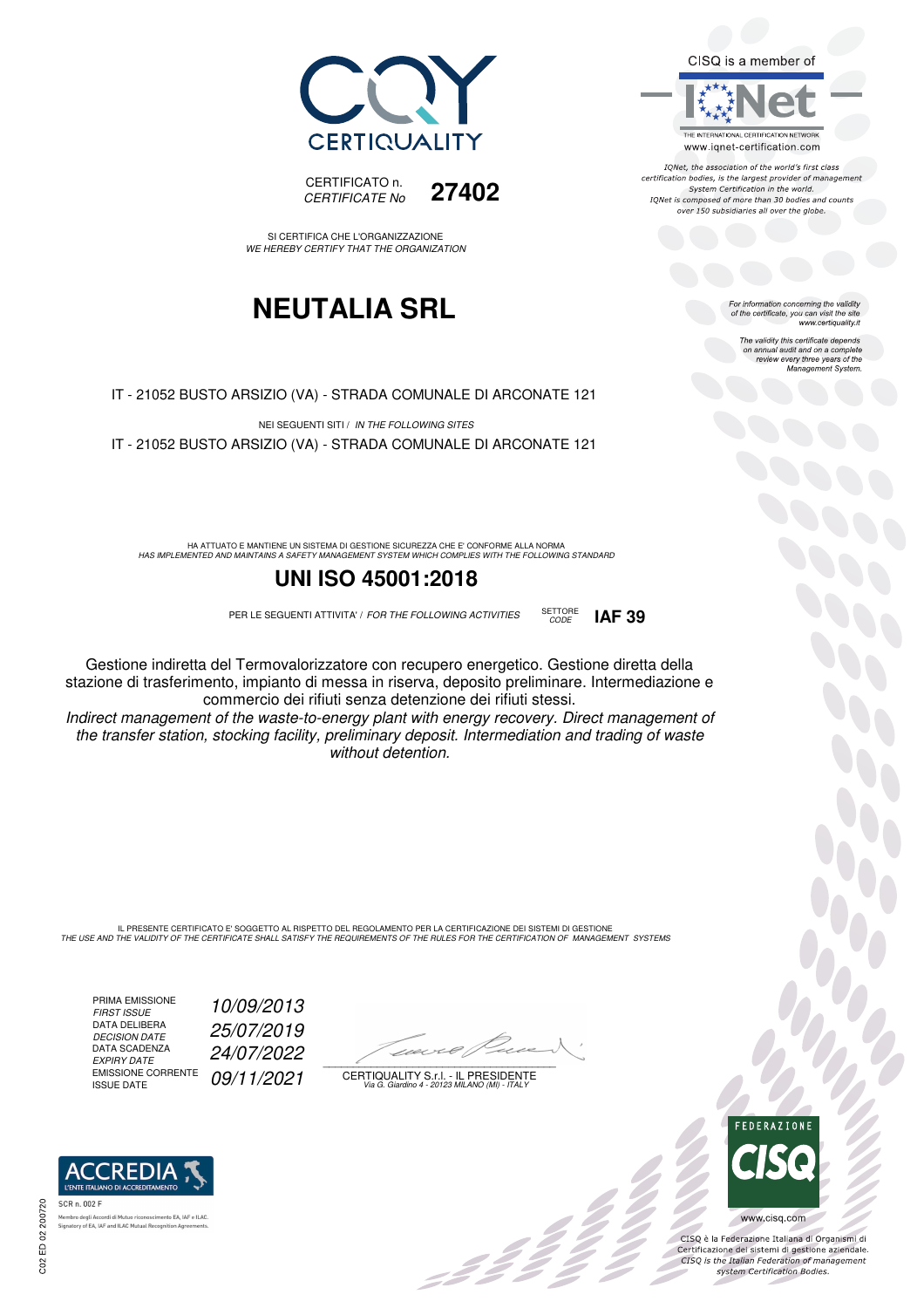



IONet, the association of the world's first class certification bodies, is the largest provider of management System Certification in the world. IQNet is composed of more than 30 bodies and counts over 150 subsidiaries all over the globe.

CODE **IAF 39**

For information concerning the validity<br>of the certificate, you can visit the site<br>www.certiquality.it

The validity this certificate depends on annual audit and on a complete review every three years of the Management System.





SI CERTIFICA CHE L'ORGANIZZAZIONE WE HEREBY CERTIFY THAT THE ORGANIZATION

## **NEUTALIA SRL**

IT - 21052 BUSTO ARSIZIO (VA) - STRADA COMUNALE DI ARCONATE 121

NEI SEGUENTI SITI / IN THE FOLLOWING SITES IT - 21052 BUSTO ARSIZIO (VA) - STRADA COMUNALE DI ARCONATE 121

HA ATTUATO E MANTIENE UN SISTEMA DI GESTIONE SICUREZZA CHE E' CONFORME ALLA NORMA<br>HAS IMPLEMENTED AND MAINTAINS A SAFETY MANAGEMENT SYSTEM WHICH COMPLIES WITH THE FOLLOWING STANDARD

### **UNI ISO 45001:2018**

PER LE SEGUENTI ATTIVITA' / FOR THE FOLLOWING ACTIVITIES SETTORE

Gestione indiretta del Termovalorizzatore con recupero energetico. Gestione diretta della stazione di trasferimento, impianto di messa in riserva, deposito preliminare. Intermediazione e commercio dei rifiuti senza detenzione dei rifiuti stessi.

Indirect management of the waste-to-energy plant with energy recovery. Direct management of the transfer station, stocking facility, preliminary deposit. Intermediation and trading of waste without detention.

IL PRESENTE CERTIFICATO E' SOGGETTO AL RISPETTO DEL REGOLAMENTO PER LA CERTIFICAZIONE DEI SISTEMI DI GESTIONE<br>THE USE AND THE VALIDITY OF THE CERTIFICATE SHALL SATISFY THE REQUIREMENTS OF THE RULES FOR THE CERTIFICATION OF

PRIMA EMISSIONE<br>FIRST ISSUE DATA DELIBERA DECISION DATE<br>DECISION DATE<br>EXPIRY DATE EMISSIONE CORRENTE<br>ISSUE DATE

10/09/2013 25/07/2019 EXPIRY DATE 24/07/2022 09/11/2021

 $\overline{\phantom{a}}$ 

:422

CERTIQUALITY S.r.l. - IL PRESIDENTE Via G. Giardino 4 - 20123 MILANO (MI) - ITALY



 $\frac{1}{2}$ 

CISQ è la Federazione Italiana di Organismi di Certificazione dei sistemi di gestione aziendale.<br>CISQ is the Italian Federation of management system Certification Bodies.



.<br>Alfred Martins als nento EA, IAF e ILAC Signatory of EA, IAF and ILAC Mutual Recogr